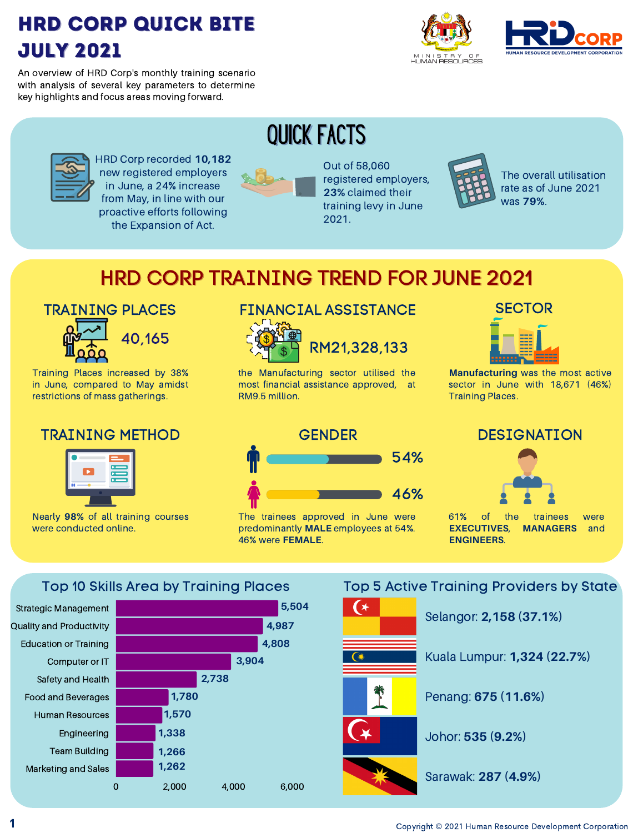## HRD Corp Quick Bite July 2021





An overview of HRD Corp's monthly training scenario with analysis of several key parameters to determine key highlights and focus areas moving forward.



HRD Corp recorded **10,182** new registered employers in June, a 24% increase from May, in line with our proactive efforts following the Expansion of Act.



Out of 58,060 registered employers, **23%** claimed their training levy in June 2021.



The overall utilisation rate as of June 2021 was **79%**.

## HRD CORP TRAINING TREND FOR JUNE 2021

QUICK FACTS

#### TRAINING PLACES



Training Places increased by 38% in June, compared to May amidst restrictions of mass gatherings.

#### TRAINING METHOD



Nearly **98%** of all training courses were conducted online.

### FINANCIAL ASSISTANCE



RM21,328,133

the Manufacturing sector utilised the most financial assistance approved, at RM9.5 million.

#### **SECTOR**



**Manufacturing** was the most active sector in June with 18,671 (46%) Training Places.



The trainees approved in June were predominantly **MALE** employees at 54%. 46% were **FEMALE**.

#### DESIGNATION



61% of the trainees were **EXECUTIVES**, **MANAGERS** and **ENGINEERS**.

Top 10 Skills Area by Training Places



#### Top 5 Active Training Providers by State